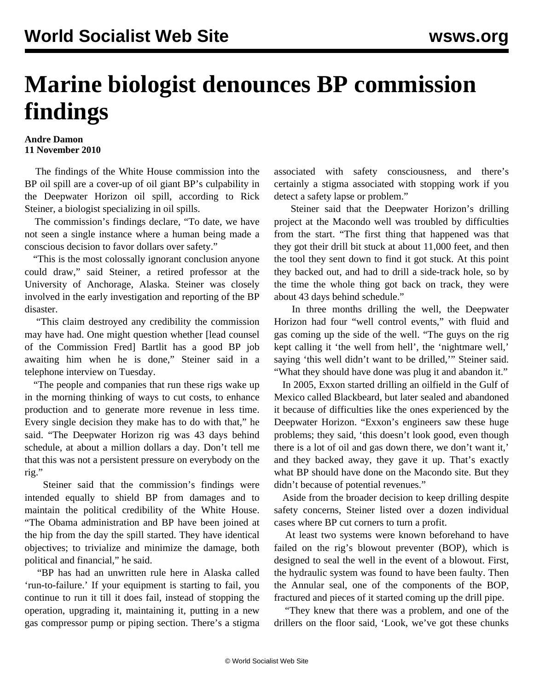## **Marine biologist denounces BP commission findings**

## **Andre Damon 11 November 2010**

 The findings of the White House commission into the BP oil spill are a cover-up of oil giant BP's culpability in the Deepwater Horizon oil spill, according to Rick Steiner, a biologist specializing in oil spills.

 The commission's findings declare, "To date, we have not seen a single instance where a human being made a conscious decision to favor dollars over safety."

 "This is the most colossally ignorant conclusion anyone could draw," said Steiner, a retired professor at the University of Anchorage, Alaska. Steiner was closely involved in the early investigation and reporting of the BP disaster.

 "This claim destroyed any credibility the commission may have had. One might question whether [lead counsel of the Commission Fred] Bartlit has a good BP job awaiting him when he is done," Steiner said in a telephone interview on Tuesday.

 "The people and companies that run these rigs wake up in the morning thinking of ways to cut costs, to enhance production and to generate more revenue in less time. Every single decision they make has to do with that," he said. "The Deepwater Horizon rig was 43 days behind schedule, at about a million dollars a day. Don't tell me that this was not a persistent pressure on everybody on the rig."

 Steiner said that the commission's findings were intended equally to shield BP from damages and to maintain the political credibility of the White House. "The Obama administration and BP have been joined at the hip from the day the spill started. They have identical objectives; to trivialize and minimize the damage, both political and financial," he said.

 "BP has had an unwritten rule here in Alaska called 'run-to-failure.' If your equipment is starting to fail, you continue to run it till it does fail, instead of stopping the operation, upgrading it, maintaining it, putting in a new gas compressor pump or piping section. There's a stigma associated with safety consciousness, and there's certainly a stigma associated with stopping work if you detect a safety lapse or problem."

 Steiner said that the Deepwater Horizon's drilling project at the Macondo well was troubled by difficulties from the start. "The first thing that happened was that they got their drill bit stuck at about 11,000 feet, and then the tool they sent down to find it got stuck. At this point they backed out, and had to drill a side-track hole, so by the time the whole thing got back on track, they were about 43 days behind schedule."

 In three months drilling the well, the Deepwater Horizon had four "well control events," with fluid and gas coming up the side of the well. "The guys on the rig kept calling it 'the well from hell', the 'nightmare well,' saying 'this well didn't want to be drilled,'" Steiner said. "What they should have done was plug it and abandon it."

 In 2005, Exxon started drilling an oilfield in the Gulf of Mexico called Blackbeard, but later sealed and abandoned it because of difficulties like the ones experienced by the Deepwater Horizon. "Exxon's engineers saw these huge problems; they said, 'this doesn't look good, even though there is a lot of oil and gas down there, we don't want it,' and they backed away, they gave it up. That's exactly what BP should have done on the Macondo site. But they didn't because of potential revenues."

 Aside from the broader decision to keep drilling despite safety concerns, Steiner listed over a dozen individual cases where BP cut corners to turn a profit.

 At least two systems were known beforehand to have failed on the rig's blowout preventer (BOP), which is designed to seal the well in the event of a blowout. First, the hydraulic system was found to have been faulty. Then the Annular seal, one of the components of the BOP, fractured and pieces of it started coming up the drill pipe.

 "They knew that there was a problem, and one of the drillers on the floor said, 'Look, we've got these chunks